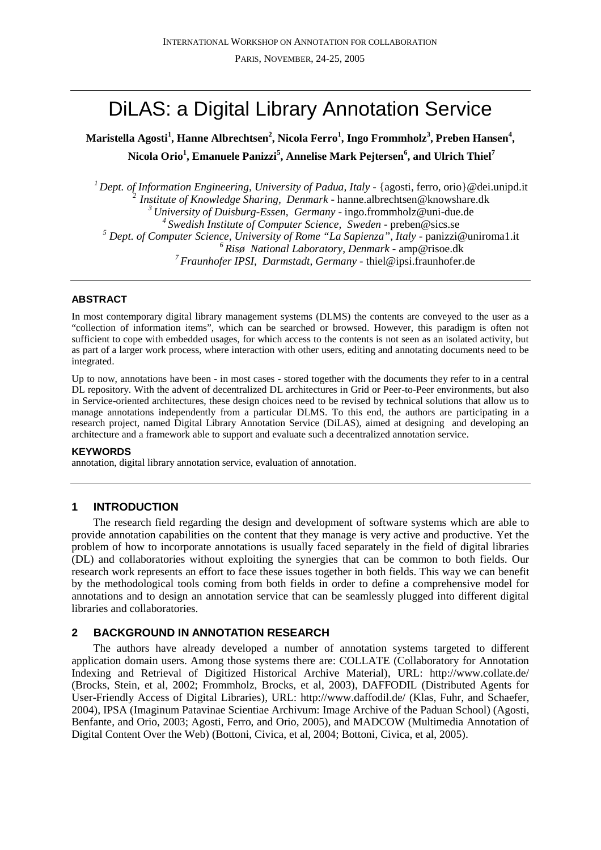# DiLAS: a Digital Library Annotation Service

**Maristella Agosti<sup>1</sup> , Hanne Albrechtsen<sup>2</sup> , Nicola Ferro<sup>1</sup> , Ingo Frommholz<sup>3</sup> , Preben Hansen<sup>4</sup> , Nicola Orio<sup>1</sup> , Emanuele Panizzi<sup>5</sup> , Annelise Mark Pejtersen<sup>6</sup> , and Ulrich Thiel<sup>7</sup>**

*Dept. of Information Engineering, University of Padua, Italy -* {agosti, ferro, orio}@dei.unipd.it *2 Institute of Knowledge Sharing, Denmark* - hanne.albrechtsen@knowshare.dk *University of Duisburg-Essen, Germany* - ingo.frommholz@uni-due.de *Swedish Institute of Computer Science, Sweden* - preben@sics.se  *Dept. of Computer Science, University of Rome "La Sapienza", Italy -* panizzi@uniroma1.it *Risø National Laboratory, Denmark -* amp@risoe.dk *Fraunhofer IPSI, Darmstadt, Germany -* thiel@ipsi.fraunhofer.de

# **ABSTRACT**

In most contemporary digital library management systems (DLMS) the contents are conveyed to the user as a "collection of information items", which can be searched or browsed. However, this paradigm is often not sufficient to cope with embedded usages, for which access to the contents is not seen as an isolated activity, but as part of a larger work process, where interaction with other users, editing and annotating documents need to be integrated.

Up to now, annotations have been - in most cases - stored together with the documents they refer to in a central DL repository. With the advent of decentralized DL architectures in Grid or Peer-to-Peer environments, but also in Service-oriented architectures, these design choices need to be revised by technical solutions that allow us to manage annotations independently from a particular DLMS. To this end, the authors are participating in a research project, named Digital Library Annotation Service (DiLAS), aimed at designing and developing an architecture and a framework able to support and evaluate such a decentralized annotation service.

# **KEYWORDS**

annotation, digital library annotation service, evaluation of annotation.

# **1 INTRODUCTION**

The research field regarding the design and development of software systems which are able to provide annotation capabilities on the content that they manage is very active and productive. Yet the problem of how to incorporate annotations is usually faced separately in the field of digital libraries (DL) and collaboratories without exploiting the synergies that can be common to both fields. Our research work represents an effort to face these issues together in both fields. This way we can benefit by the methodological tools coming from both fields in order to define a comprehensive model for annotations and to design an annotation service that can be seamlessly plugged into different digital libraries and collaboratories.

# **2 BACKGROUND IN ANNOTATION RESEARCH**

The authors have already developed a number of annotation systems targeted to different application domain users. Among those systems there are: COLLATE (Collaboratory for Annotation Indexing and Retrieval of Digitized Historical Archive Material), URL: http://www.collate.de/ (Brocks, Stein, et al, 2002; Frommholz, Brocks, et al, 2003), DAFFODIL (Distributed Agents for User-Friendly Access of Digital Libraries), URL: http://www.daffodil.de/ (Klas, Fuhr, and Schaefer, 2004), IPSA (Imaginum Patavinae Scientiae Archivum: Image Archive of the Paduan School) (Agosti, Benfante, and Orio, 2003; Agosti, Ferro, and Orio, 2005), and MADCOW (Multimedia Annotation of Digital Content Over the Web) (Bottoni, Civica, et al, 2004; Bottoni, Civica, et al, 2005).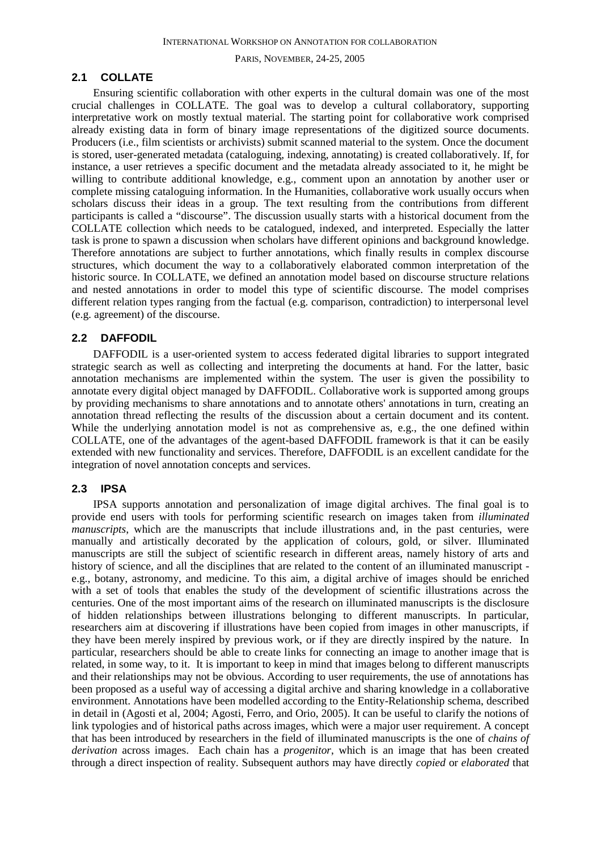## **2.1 COLLATE**

Ensuring scientific collaboration with other experts in the cultural domain was one of the most crucial challenges in COLLATE. The goal was to develop a cultural collaboratory, supporting interpretative work on mostly textual material. The starting point for collaborative work comprised already existing data in form of binary image representations of the digitized source documents. Producers (i.e., film scientists or archivists) submit scanned material to the system. Once the document is stored, user-generated metadata (cataloguing, indexing, annotating) is created collaboratively. If, for instance, a user retrieves a specific document and the metadata already associated to it, he might be willing to contribute additional knowledge, e.g., comment upon an annotation by another user or complete missing cataloguing information. In the Humanities, collaborative work usually occurs when scholars discuss their ideas in a group. The text resulting from the contributions from different participants is called a "discourse". The discussion usually starts with a historical document from the COLLATE collection which needs to be catalogued, indexed, and interpreted. Especially the latter task is prone to spawn a discussion when scholars have different opinions and background knowledge. Therefore annotations are subject to further annotations, which finally results in complex discourse structures, which document the way to a collaboratively elaborated common interpretation of the historic source. In COLLATE, we defined an annotation model based on discourse structure relations and nested annotations in order to model this type of scientific discourse. The model comprises different relation types ranging from the factual (e.g. comparison, contradiction) to interpersonal level (e.g. agreement) of the discourse.

## **2.2 DAFFODIL**

DAFFODIL is a user-oriented system to access federated digital libraries to support integrated strategic search as well as collecting and interpreting the documents at hand. For the latter, basic annotation mechanisms are implemented within the system. The user is given the possibility to annotate every digital object managed by DAFFODIL. Collaborative work is supported among groups by providing mechanisms to share annotations and to annotate others' annotations in turn, creating an annotation thread reflecting the results of the discussion about a certain document and its content. While the underlying annotation model is not as comprehensive as, e.g., the one defined within COLLATE, one of the advantages of the agent-based DAFFODIL framework is that it can be easily extended with new functionality and services. Therefore, DAFFODIL is an excellent candidate for the integration of novel annotation concepts and services.

## **2.3 IPSA**

IPSA supports annotation and personalization of image digital archives. The final goal is to provide end users with tools for performing scientific research on images taken from *illuminated manuscripts*, which are the manuscripts that include illustrations and, in the past centuries, were manually and artistically decorated by the application of colours, gold, or silver. Illuminated manuscripts are still the subject of scientific research in different areas, namely history of arts and history of science, and all the disciplines that are related to the content of an illuminated manuscript e.g., botany, astronomy, and medicine. To this aim, a digital archive of images should be enriched with a set of tools that enables the study of the development of scientific illustrations across the centuries. One of the most important aims of the research on illuminated manuscripts is the disclosure of hidden relationships between illustrations belonging to different manuscripts. In particular, researchers aim at discovering if illustrations have been copied from images in other manuscripts, if they have been merely inspired by previous work, or if they are directly inspired by the nature. In particular, researchers should be able to create links for connecting an image to another image that is related, in some way, to it. It is important to keep in mind that images belong to different manuscripts and their relationships may not be obvious. According to user requirements, the use of annotations has been proposed as a useful way of accessing a digital archive and sharing knowledge in a collaborative environment. Annotations have been modelled according to the Entity-Relationship schema, described in detail in (Agosti et al, 2004; Agosti, Ferro, and Orio, 2005). It can be useful to clarify the notions of link typologies and of historical paths across images, which were a major user requirement. A concept that has been introduced by researchers in the field of illuminated manuscripts is the one of *chains of derivation* across images. Each chain has a *progenitor*, which is an image that has been created through a direct inspection of reality. Subsequent authors may have directly *copied* or *elaborated* that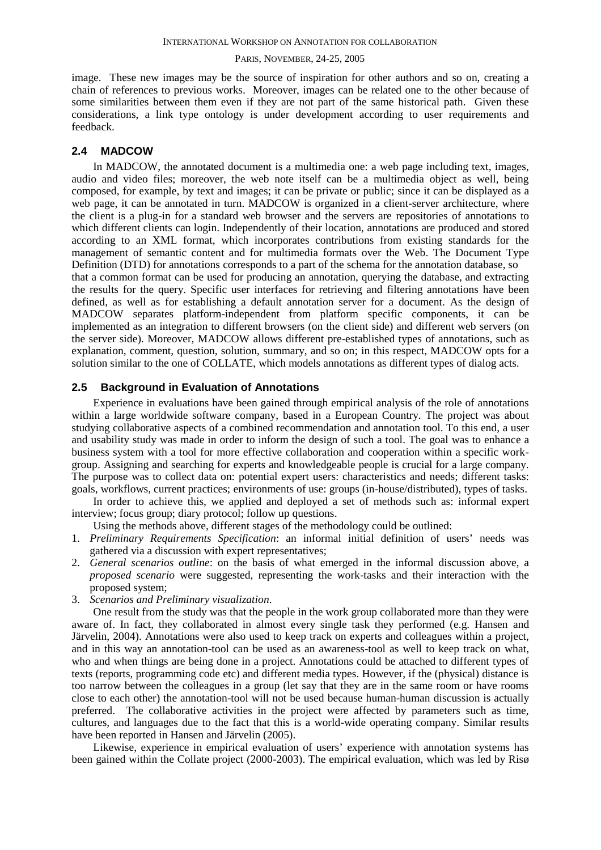image. These new images may be the source of inspiration for other authors and so on, creating a chain of references to previous works. Moreover, images can be related one to the other because of some similarities between them even if they are not part of the same historical path. Given these considerations, a link type ontology is under development according to user requirements and feedback.

## **2.4 MADCOW**

In MADCOW, the annotated document is a multimedia one: a web page including text, images, audio and video files; moreover, the web note itself can be a multimedia object as well, being composed, for example, by text and images; it can be private or public; since it can be displayed as a web page, it can be annotated in turn. MADCOW is organized in a client-server architecture, where the client is a plug-in for a standard web browser and the servers are repositories of annotations to which different clients can login. Independently of their location, annotations are produced and stored according to an XML format, which incorporates contributions from existing standards for the management of semantic content and for multimedia formats over the Web. The Document Type Definition (DTD) for annotations corresponds to a part of the schema for the annotation database, so that a common format can be used for producing an annotation, querying the database, and extracting the results for the query. Specific user interfaces for retrieving and filtering annotations have been defined, as well as for establishing a default annotation server for a document. As the design of MADCOW separates platform-independent from platform specific components, it can be implemented as an integration to different browsers (on the client side) and different web servers (on the server side). Moreover, MADCOW allows different pre-established types of annotations, such as explanation, comment, question, solution, summary, and so on; in this respect, MADCOW opts for a solution similar to the one of COLLATE, which models annotations as different types of dialog acts.

## **2.5 Background in Evaluation of Annotations**

Experience in evaluations have been gained through empirical analysis of the role of annotations within a large worldwide software company, based in a European Country. The project was about studying collaborative aspects of a combined recommendation and annotation tool. To this end, a user and usability study was made in order to inform the design of such a tool. The goal was to enhance a business system with a tool for more effective collaboration and cooperation within a specific workgroup. Assigning and searching for experts and knowledgeable people is crucial for a large company. The purpose was to collect data on: potential expert users: characteristics and needs; different tasks: goals, workflows, current practices; environments of use: groups (in-house/distributed), types of tasks.

In order to achieve this, we applied and deployed a set of methods such as: informal expert interview; focus group; diary protocol; follow up questions.

Using the methods above, different stages of the methodology could be outlined:

- 1. *Preliminary Requirements Specification*: an informal initial definition of users' needs was gathered via a discussion with expert representatives;
- 2. *General scenarios outline*: on the basis of what emerged in the informal discussion above, a *proposed scenario* were suggested, representing the work-tasks and their interaction with the proposed system;
- 3. *Scenarios and Preliminary visualization*.

One result from the study was that the people in the work group collaborated more than they were aware of. In fact, they collaborated in almost every single task they performed (e.g. Hansen and Järvelin, 2004). Annotations were also used to keep track on experts and colleagues within a project, and in this way an annotation-tool can be used as an awareness-tool as well to keep track on what, who and when things are being done in a project. Annotations could be attached to different types of texts (reports, programming code etc) and different media types. However, if the (physical) distance is too narrow between the colleagues in a group (let say that they are in the same room or have rooms close to each other) the annotation-tool will not be used because human-human discussion is actually preferred. The collaborative activities in the project were affected by parameters such as time, cultures, and languages due to the fact that this is a world-wide operating company. Similar results have been reported in Hansen and Järvelin (2005).

Likewise, experience in empirical evaluation of users' experience with annotation systems has been gained within the Collate project (2000-2003). The empirical evaluation, which was led by Risø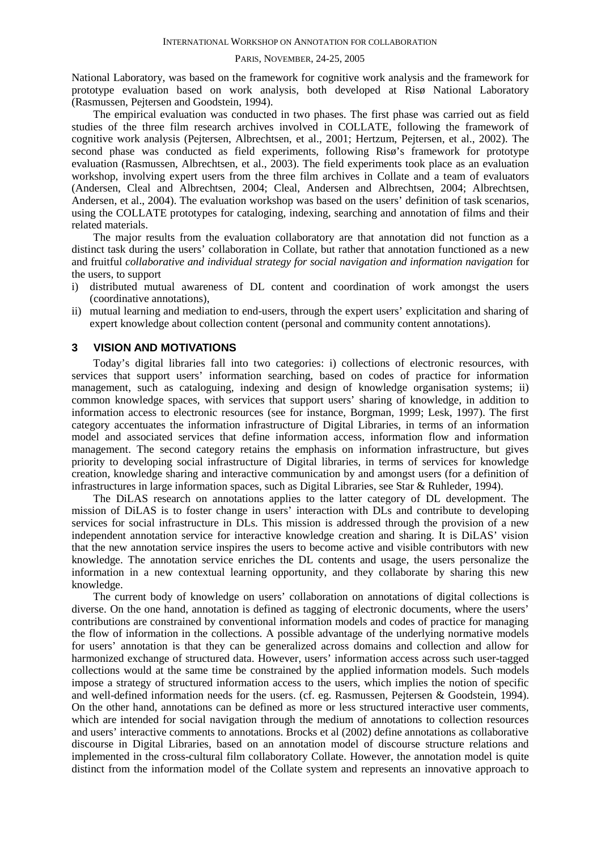National Laboratory, was based on the framework for cognitive work analysis and the framework for prototype evaluation based on work analysis, both developed at Risø National Laboratory (Rasmussen, Pejtersen and Goodstein, 1994).

The empirical evaluation was conducted in two phases. The first phase was carried out as field studies of the three film research archives involved in COLLATE, following the framework of cognitive work analysis (Pejtersen, Albrechtsen, et al., 2001; Hertzum, Pejtersen, et al., 2002). The second phase was conducted as field experiments, following Risø's framework for prototype evaluation (Rasmussen, Albrechtsen, et al., 2003). The field experiments took place as an evaluation workshop, involving expert users from the three film archives in Collate and a team of evaluators (Andersen, Cleal and Albrechtsen, 2004; Cleal, Andersen and Albrechtsen, 2004; Albrechtsen, Andersen, et al., 2004). The evaluation workshop was based on the users' definition of task scenarios, using the COLLATE prototypes for cataloging, indexing, searching and annotation of films and their related materials.

The major results from the evaluation collaboratory are that annotation did not function as a distinct task during the users' collaboration in Collate, but rather that annotation functioned as a new and fruitful *collaborative and individual strategy for social navigation and information navigation* for the users, to support

- i) distributed mutual awareness of DL content and coordination of work amongst the users (coordinative annotations),
- ii) mutual learning and mediation to end-users, through the expert users' explicitation and sharing of expert knowledge about collection content (personal and community content annotations).

## **3 VISION AND MOTIVATIONS**

Today's digital libraries fall into two categories: i) collections of electronic resources, with services that support users' information searching, based on codes of practice for information management, such as cataloguing, indexing and design of knowledge organisation systems; ii) common knowledge spaces, with services that support users' sharing of knowledge, in addition to information access to electronic resources (see for instance, Borgman, 1999; Lesk, 1997). The first category accentuates the information infrastructure of Digital Libraries, in terms of an information model and associated services that define information access, information flow and information management. The second category retains the emphasis on information infrastructure, but gives priority to developing social infrastructure of Digital libraries, in terms of services for knowledge creation, knowledge sharing and interactive communication by and amongst users (for a definition of infrastructures in large information spaces, such as Digital Libraries, see Star & Ruhleder, 1994).

The DiLAS research on annotations applies to the latter category of DL development. The mission of DiLAS is to foster change in users' interaction with DLs and contribute to developing services for social infrastructure in DLs. This mission is addressed through the provision of a new independent annotation service for interactive knowledge creation and sharing. It is DiLAS' vision that the new annotation service inspires the users to become active and visible contributors with new knowledge. The annotation service enriches the DL contents and usage, the users personalize the information in a new contextual learning opportunity, and they collaborate by sharing this new knowledge.

The current body of knowledge on users' collaboration on annotations of digital collections is diverse. On the one hand, annotation is defined as tagging of electronic documents, where the users' contributions are constrained by conventional information models and codes of practice for managing the flow of information in the collections. A possible advantage of the underlying normative models for users' annotation is that they can be generalized across domains and collection and allow for harmonized exchange of structured data. However, users' information access across such user-tagged collections would at the same time be constrained by the applied information models. Such models impose a strategy of structured information access to the users, which implies the notion of specific and well-defined information needs for the users. (cf. eg. Rasmussen, Pejtersen & Goodstein, 1994). On the other hand, annotations can be defined as more or less structured interactive user comments, which are intended for social navigation through the medium of annotations to collection resources and users' interactive comments to annotations. Brocks et al (2002) define annotations as collaborative discourse in Digital Libraries, based on an annotation model of discourse structure relations and implemented in the cross-cultural film collaboratory Collate. However, the annotation model is quite distinct from the information model of the Collate system and represents an innovative approach to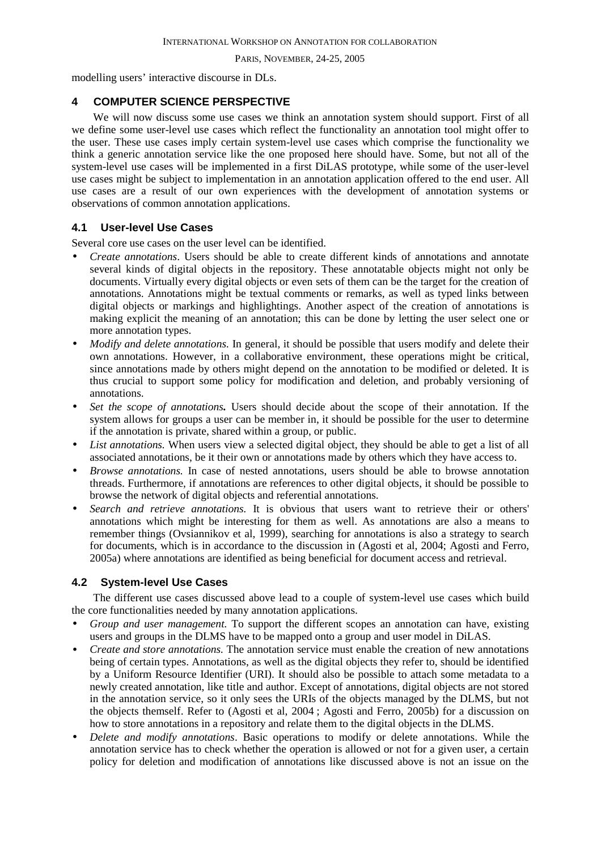modelling users' interactive discourse in DLs.

# **4 COMPUTER SCIENCE PERSPECTIVE**

We will now discuss some use cases we think an annotation system should support. First of all we define some user-level use cases which reflect the functionality an annotation tool might offer to the user. These use cases imply certain system-level use cases which comprise the functionality we think a generic annotation service like the one proposed here should have. Some, but not all of the system-level use cases will be implemented in a first DiLAS prototype, while some of the user-level use cases might be subject to implementation in an annotation application offered to the end user. All use cases are a result of our own experiences with the development of annotation systems or observations of common annotation applications.

# **4.1 User-level Use Cases**

Several core use cases on the user level can be identified.

- *Create annotations*. Users should be able to create different kinds of annotations and annotate several kinds of digital objects in the repository. These annotatable objects might not only be documents. Virtually every digital objects or even sets of them can be the target for the creation of annotations. Annotations might be textual comments or remarks, as well as typed links between digital objects or markings and highlightings. Another aspect of the creation of annotations is making explicit the meaning of an annotation; this can be done by letting the user select one or more annotation types.
- *Modify and delete annotations.* In general, it should be possible that users modify and delete their own annotations. However, in a collaborative environment, these operations might be critical, since annotations made by others might depend on the annotation to be modified or deleted. It is thus crucial to support some policy for modification and deletion, and probably versioning of annotations.
- *Set the scope of annotations.* Users should decide about the scope of their annotation. If the system allows for groups a user can be member in, it should be possible for the user to determine if the annotation is private, shared within a group, or public.
- *List annotations.* When users view a selected digital object, they should be able to get a list of all associated annotations, be it their own or annotations made by others which they have access to.
- *Browse annotations.* In case of nested annotations, users should be able to browse annotation threads. Furthermore, if annotations are references to other digital objects, it should be possible to browse the network of digital objects and referential annotations.
- *Search and retrieve annotations.* It is obvious that users want to retrieve their or others' annotations which might be interesting for them as well. As annotations are also a means to remember things (Ovsiannikov et al, 1999), searching for annotations is also a strategy to search for documents, which is in accordance to the discussion in (Agosti et al, 2004; Agosti and Ferro, 2005a) where annotations are identified as being beneficial for document access and retrieval.

# **4.2 System-level Use Cases**

The different use cases discussed above lead to a couple of system-level use cases which build the core functionalities needed by many annotation applications.

- *Group and user management.* To support the different scopes an annotation can have, existing users and groups in the DLMS have to be mapped onto a group and user model in DiLAS.
- *Create and store annotations.* The annotation service must enable the creation of new annotations being of certain types. Annotations, as well as the digital objects they refer to, should be identified by a Uniform Resource Identifier (URI). It should also be possible to attach some metadata to a newly created annotation, like title and author. Except of annotations, digital objects are not stored in the annotation service, so it only sees the URIs of the objects managed by the DLMS, but not the objects themself. Refer to (Agosti et al, 2004 ; Agosti and Ferro, 2005b) for a discussion on how to store annotations in a repository and relate them to the digital objects in the DLMS.
- *Delete and modify annotations*. Basic operations to modify or delete annotations. While the annotation service has to check whether the operation is allowed or not for a given user, a certain policy for deletion and modification of annotations like discussed above is not an issue on the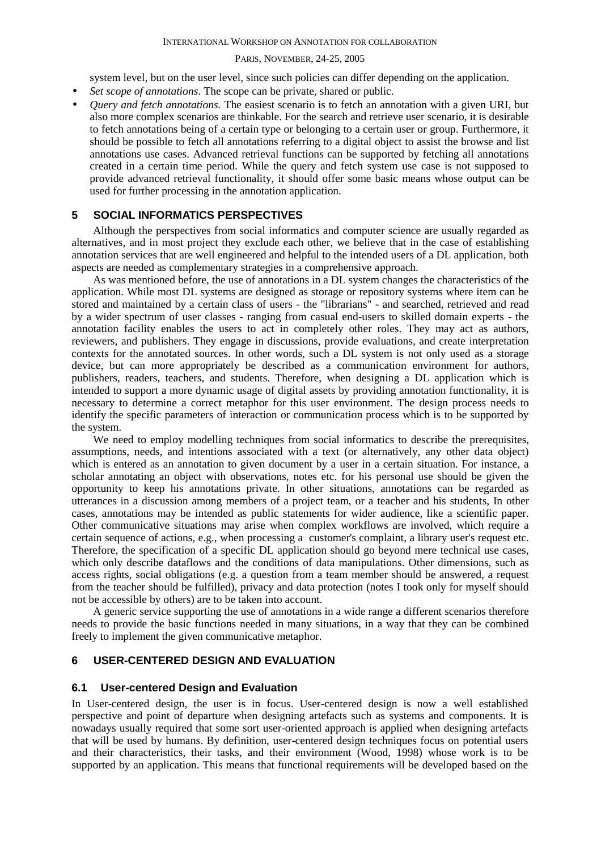#### INTERNATIONAL WORKSHOP ON ANNOTATION FOR COLLABORATION

#### PARIS, NOVEMBER, 24-25, 2005

system level, but on the user level, since such policies can differ depending on the application.

- *Set scope of annotations*. The scope can be private, shared or public.
- *Query and fetch annotations.* The easiest scenario is to fetch an annotation with a given URI, but also more complex scenarios are thinkable. For the search and retrieve user scenario, it is desirable to fetch annotations being of a certain type or belonging to a certain user or group. Furthermore, it should be possible to fetch all annotations referring to a digital object to assist the browse and list annotations use cases. Advanced retrieval functions can be supported by fetching all annotations created in a certain time period. While the query and fetch system use case is not supposed to provide advanced retrieval functionality, it should offer some basic means whose output can be used for further processing in the annotation application.

## **5 SOCIAL INFORMATICS PERSPECTIVES**

Although the perspectives from social informatics and computer science are usually regarded as alternatives, and in most project they exclude each other, we believe that in the case of establishing annotation services that are well engineered and helpful to the intended users of a DL application, both aspects are needed as complementary strategies in a comprehensive approach.

As was mentioned before, the use of annotations in a DL system changes the characteristics of the application. While most DL systems are designed as storage or repository systems where item can be stored and maintained by a certain class of users - the "librarians" - and searched, retrieved and read by a wider spectrum of user classes - ranging from casual end-users to skilled domain experts - the annotation facility enables the users to act in completely other roles. They may act as authors, reviewers, and publishers. They engage in discussions, provide evaluations, and create interpretation contexts for the annotated sources. In other words, such a DL system is not only used as a storage device, but can more appropriately be described as a communication environment for authors, publishers, readers, teachers, and students. Therefore, when designing a DL application which is intended to support a more dynamic usage of digital assets by providing annotation functionality, it is necessary to determine a correct metaphor for this user environment. The design process needs to identify the specific parameters of interaction or communication process which is to be supported by the system.

We need to employ modelling techniques from social informatics to describe the prerequisites, assumptions, needs, and intentions associated with a text (or alternatively, any other data object) which is entered as an annotation to given document by a user in a certain situation. For instance, a scholar annotating an object with observations, notes etc. for his personal use should be given the opportunity to keep his annotations private. In other situations, annotations can be regarded as utterances in a discussion among members of a project team, or a teacher and his students, In other cases, annotations may be intended as public statements for wider audience, like a scientific paper. Other communicative situations may arise when complex workflows are involved, which require a certain sequence of actions, e.g., when processing a customer's complaint, a library user's request etc. Therefore, the specification of a specific DL application should go beyond mere technical use cases, which only describe dataflows and the conditions of data manipulations. Other dimensions, such as access rights, social obligations (e.g. a question from a team member should be answered, a request from the teacher should be fulfilled), privacy and data protection (notes I took only for myself should not be accessible by others) are to be taken into account.

A generic service supporting the use of annotations in a wide range a different scenarios therefore needs to provide the basic functions needed in many situations, in a way that they can be combined freely to implement the given communicative metaphor.

# **6 USER-CENTERED DESIGN AND EVALUATION**

## **6.1 User-centered Design and Evaluation**

In User-centered design, the user is in focus. User-centered design is now a well established perspective and point of departure when designing artefacts such as systems and components. It is nowadays usually required that some sort user-oriented approach is applied when designing artefacts that will be used by humans. By definition, user-centered design techniques focus on potential users and their characteristics, their tasks, and their environment (Wood, 1998) whose work is to be supported by an application. This means that functional requirements will be developed based on the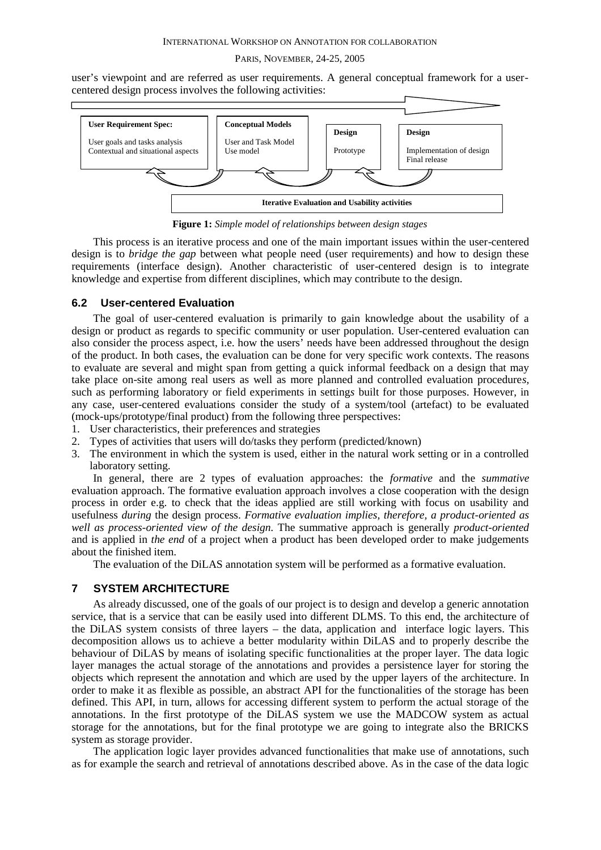user's viewpoint and are referred as user requirements. A general conceptual framework for a usercentered design process involves the following activities:



**Figure 1:** *Simple model of relationships between design stages*

This process is an iterative process and one of the main important issues within the user-centered design is to *bridge the gap* between what people need (user requirements) and how to design these requirements (interface design). Another characteristic of user-centered design is to integrate knowledge and expertise from different disciplines, which may contribute to the design.

## **6.2 User-centered Evaluation**

The goal of user-centered evaluation is primarily to gain knowledge about the usability of a design or product as regards to specific community or user population. User-centered evaluation can also consider the process aspect, i.e. how the users' needs have been addressed throughout the design of the product. In both cases, the evaluation can be done for very specific work contexts*.* The reasons to evaluate are several and might span from getting a quick informal feedback on a design that may take place on-site among real users as well as more planned and controlled evaluation procedure*s,* such as performing laboratory or field experiments in setting*s* built for those purposes. However, in any case, user-centered evaluations consider the study of a system/tool (artefact) to be evaluated (mock-ups/prototype/final product) from the following three perspectives:

- 1. User characteristics, their preferences and strategies
- 2. Types of activities that users will do/tasks they perform (predicted/known)
- 3. The environment in which the system is used, either in the natural work setting or in a controlled laboratory setting.

In general, there are 2 types of evaluation approaches: the *formative* and the *summative* evaluation approach. The formative evaluation approach involves a close cooperation with the design process in order e.g. to check that the ideas applied are still working with focus on usability and usefulness *during* the design process. *Formative evaluation implies, therefore, a product-oriented as well as process-oriented view of the design.* The summative approach is generally *product-oriented*  and is applied in *the end* of a project when a product has been developed order to make judgements about the finished item.

The evaluation of the DiLAS annotation system will be performed as a formative evaluation.

## **7 SYSTEM ARCHITECTURE**

As already discussed, one of the goals of our project is to design and develop a generic annotation service, that is a service that can be easily used into different DLMS. To this end, the architecture of the DiLAS system consists of three layers – the data, application and interface logic layers. This decomposition allows us to achieve a better modularity within DiLAS and to properly describe the behaviour of DiLAS by means of isolating specific functionalities at the proper layer. The data logic layer manages the actual storage of the annotations and provides a persistence layer for storing the objects which represent the annotation and which are used by the upper layers of the architecture. In order to make it as flexible as possible, an abstract API for the functionalities of the storage has been defined. This API, in turn, allows for accessing different system to perform the actual storage of the annotations. In the first prototype of the DiLAS system we use the MADCOW system as actual storage for the annotations, but for the final prototype we are going to integrate also the BRICKS system as storage provider.

The application logic layer provides advanced functionalities that make use of annotations, such as for example the search and retrieval of annotations described above. As in the case of the data logic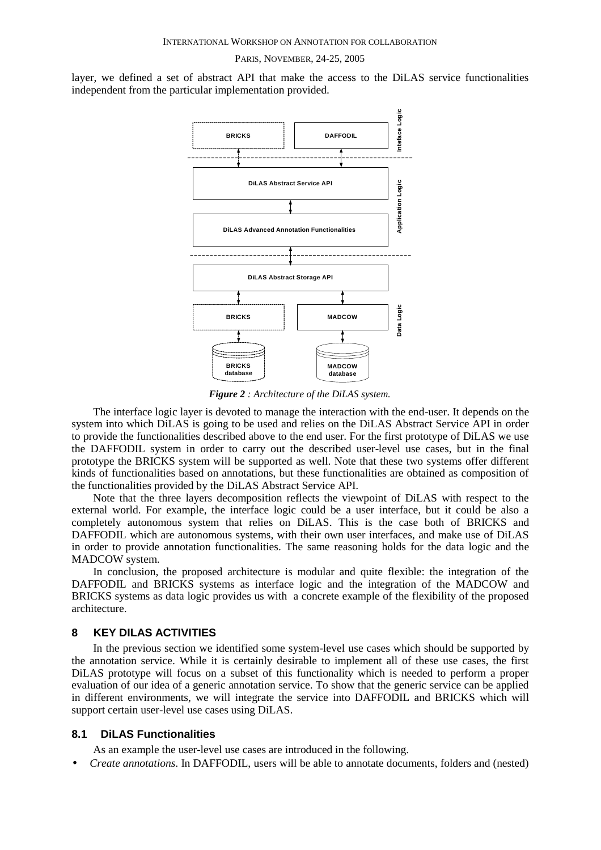layer, we defined a set of abstract API that make the access to the DiLAS service functionalities independent from the particular implementation provided.



*Figure 2 : Architecture of the DiLAS system.*

The interface logic layer is devoted to manage the interaction with the end-user. It depends on the system into which DiLAS is going to be used and relies on the DiLAS Abstract Service API in order to provide the functionalities described above to the end user. For the first prototype of DiLAS we use the DAFFODIL system in order to carry out the described user-level use cases, but in the final prototype the BRICKS system will be supported as well. Note that these two systems offer different kinds of functionalities based on annotations, but these functionalities are obtained as composition of the functionalities provided by the DiLAS Abstract Service API.

Note that the three layers decomposition reflects the viewpoint of DiLAS with respect to the external world. For example, the interface logic could be a user interface, but it could be also a completely autonomous system that relies on DiLAS. This is the case both of BRICKS and DAFFODIL which are autonomous systems, with their own user interfaces, and make use of DiLAS in order to provide annotation functionalities. The same reasoning holds for the data logic and the MADCOW system.

In conclusion, the proposed architecture is modular and quite flexible: the integration of the DAFFODIL and BRICKS systems as interface logic and the integration of the MADCOW and BRICKS systems as data logic provides us with a concrete example of the flexibility of the proposed architecture.

# **8 KEY DILAS ACTIVITIES**

In the previous section we identified some system-level use cases which should be supported by the annotation service. While it is certainly desirable to implement all of these use cases, the first DiLAS prototype will focus on a subset of this functionality which is needed to perform a proper evaluation of our idea of a generic annotation service. To show that the generic service can be applied in different environments, we will integrate the service into DAFFODIL and BRICKS which will support certain user-level use cases using DiLAS.

## **8.1 DiLAS Functionalities**

As an example the user-level use cases are introduced in the following.

• *Create annotations*. In DAFFODIL, users will be able to annotate documents, folders and (nested)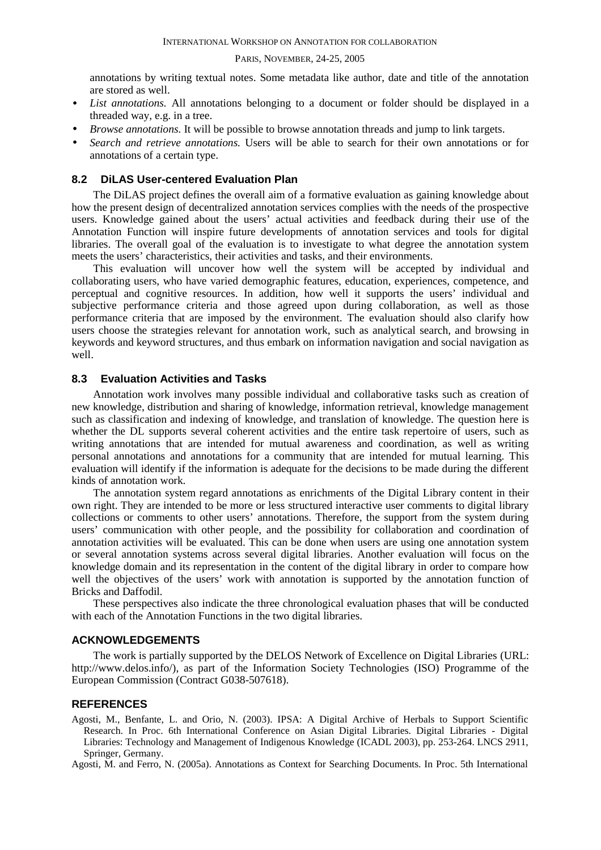annotations by writing textual notes. Some metadata like author, date and title of the annotation are stored as well.

- *List annotations.* All annotations belonging to a document or folder should be displayed in a threaded way, e.g. in a tree.
- *Browse annotations.* It will be possible to browse annotation threads and jump to link targets.
- *Search and retrieve annotations.* Users will be able to search for their own annotations or for annotations of a certain type.

## **8.2 DiLAS User-centered Evaluation Plan**

The DiLAS project defines the overall aim of a formative evaluation as gaining knowledge about how the present design of decentralized annotation services complies with the needs of the prospective users. Knowledge gained about the users' actual activities and feedback during their use of the Annotation Function will inspire future developments of annotation services and tools for digital libraries. The overall goal of the evaluation is to investigate to what degree the annotation system meets the users' characteristics, their activities and tasks, and their environments.

This evaluation will uncover how well the system will be accepted by individual and collaborating users, who have varied demographic features, education, experiences, competence, and perceptual and cognitive resources. In addition, how well it supports the users' individual and subjective performance criteria and those agreed upon during collaboration, as well as those performance criteria that are imposed by the environment. The evaluation should also clarify how users choose the strategies relevant for annotation work, such as analytical search, and browsing in keywords and keyword structures, and thus embark on information navigation and social navigation as well.

## **8.3 Evaluation Activities and Tasks**

Annotation work involves many possible individual and collaborative tasks such as creation of new knowledge, distribution and sharing of knowledge, information retrieval, knowledge management such as classification and indexing of knowledge, and translation of knowledge. The question here is whether the DL supports several coherent activities and the entire task repertoire of users, such as writing annotations that are intended for mutual awareness and coordination, as well as writing personal annotations and annotations for a community that are intended for mutual learning. This evaluation will identify if the information is adequate for the decisions to be made during the different kinds of annotation work.

The annotation system regard annotations as enrichments of the Digital Library content in their own right. They are intended to be more or less structured interactive user comments to digital library collections or comments to other users' annotations. Therefore, the support from the system during users' communication with other people, and the possibility for collaboration and coordination of annotation activities will be evaluated. This can be done when users are using one annotation system or several annotation systems across several digital libraries. Another evaluation will focus on the knowledge domain and its representation in the content of the digital library in order to compare how well the objectives of the users' work with annotation is supported by the annotation function of Bricks and Daffodil*.*

These perspectives also indicate the three chronological evaluation phases that will be conducted with each of the Annotation Functions in the two digital libraries.

## **ACKNOWLEDGEMENTS**

The work is partially supported by the DELOS Network of Excellence on Digital Libraries (URL: http://www.delos.info/), as part of the Information Society Technologies (ISO) Programme of the European Commission (Contract G038-507618).

## **REFERENCES**

Agosti, M., Benfante, L. and Orio, N. (2003). IPSA: A Digital Archive of Herbals to Support Scientific Research. In Proc. 6th International Conference on Asian Digital Libraries. Digital Libraries - Digital Libraries: Technology and Management of Indigenous Knowledge (ICADL 2003), pp. 253-264. LNCS 2911, Springer, Germany.

Agosti, M. and Ferro, N. (2005a). Annotations as Context for Searching Documents. In Proc. 5th International